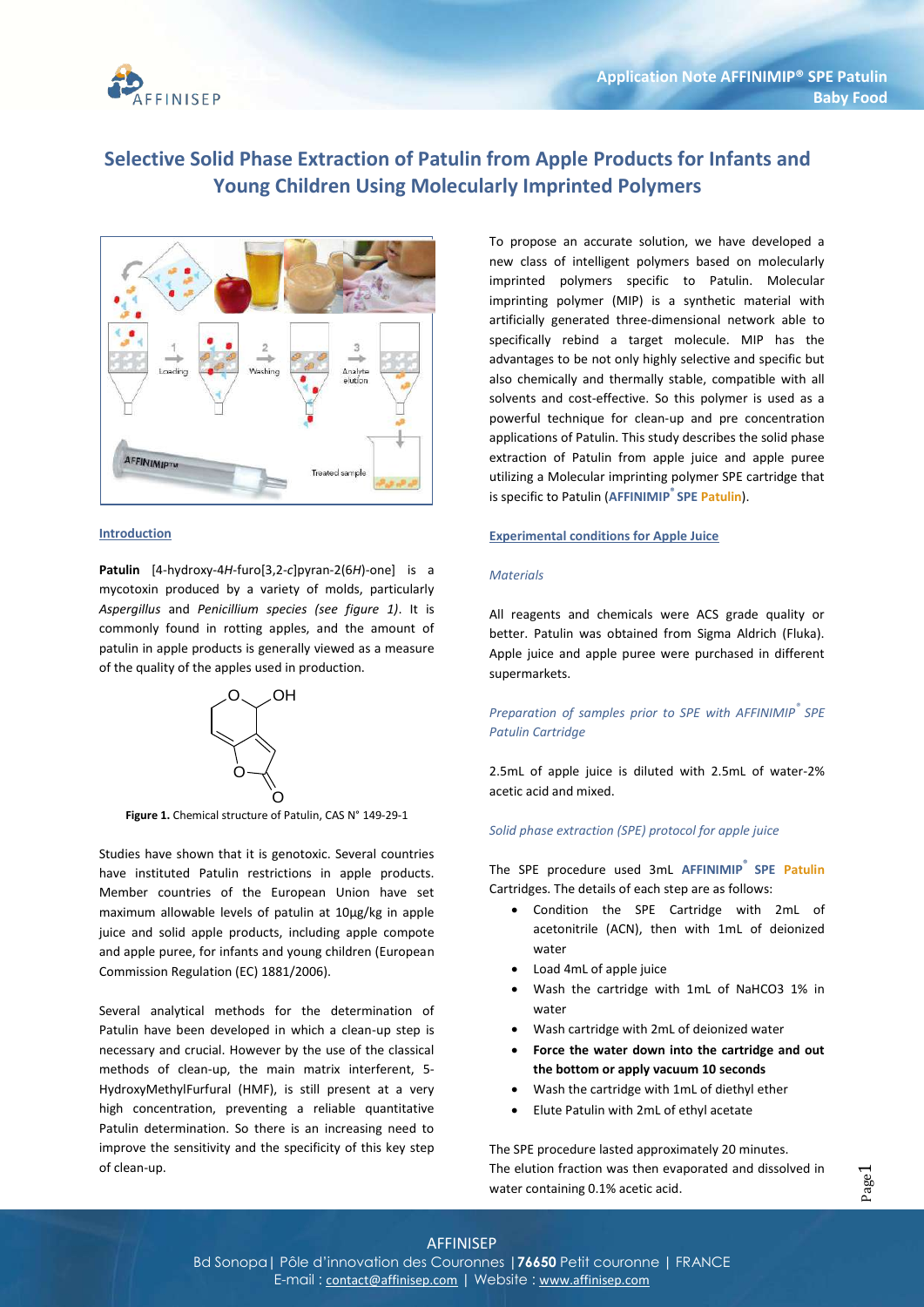

# **Selective Solid Phase Extraction of Patulin from Apple Products for Infants and Young Children Using Molecularly Imprinted Polymers**



## **Introduction**

**Patulin** [4-hydroxy-4*H*-furo[3,2-*c*]pyran-2(6*H*)-one] is a mycotoxin produced by a variety of molds, particularly *Aspergillus* and *Penicillium species (see figure 1)*. It is commonly found in rotting apples, and the amount of patulin in apple products is generally viewed as a measure of the quality of the apples used in production.



**Figure 1.** Chemical structure of Patulin, CAS N° 149-29-1

Studies have shown that it is genotoxic. Several countries have instituted Patulin restrictions in apple products. Member countries of the European Union have set maximum allowable levels of patulin at 10µg/kg in apple juice and solid apple products, including apple compote and apple puree, for infants and young children (European Commission Regulation (EC) 1881/2006).

Several analytical methods for the determination of Patulin have been developed in which a clean-up step is necessary and crucial. However by the use of the classical methods of clean-up, the main matrix interferent, 5- HydroxyMethylFurfural (HMF), is still present at a very high concentration, preventing a reliable quantitative Patulin determination. So there is an increasing need to improve the sensitivity and the specificity of this key step of clean-up.

To propose an accurate solution, we have developed a new class of intelligent polymers based on molecularly imprinted polymers specific to Patulin. Molecular imprinting polymer (MIP) is a synthetic material with artificially generated three-dimensional network able to specifically rebind a target molecule. MIP has the advantages to be not only highly selective and specific but also chemically and thermally stable, compatible with all solvents and cost-effective. So this polymer is used as a powerful technique for clean-up and pre concentration applications of Patulin. This study describes the solid phase extraction of Patulin from apple juice and apple puree utilizing a Molecular imprinting polymer SPE cartridge that is specific to Patulin (**AFFINIMIP® SPE Patulin**).

#### **Experimental conditions for Apple Juice**

## *Materials*

All reagents and chemicals were ACS grade quality or better. Patulin was obtained from Sigma Aldrich (Fluka). Apple juice and apple puree were purchased in different supermarkets.

# *Preparation of samples prior to SPE with AFFINIMIP® SPE Patulin Cartridge*

2.5mL of apple juice is diluted with 2.5mL of water-2% acetic acid and mixed.

# *Solid phase extraction (SPE) protocol for apple juice*

The SPE procedure used 3mL **AFFINIMIP® SPE Patulin** Cartridges. The details of each step are as follows:

- Condition the SPE Cartridge with 2mL of acetonitrile (ACN), then with 1mL of deionized water
- Load 4mL of apple juice
- Wash the cartridge with 1mL of NaHCO3 1% in water
- Wash cartridge with 2mL of deionized water
- **Force the water down into the cartridge and out the bottom or apply vacuum 10 seconds**
- Wash the cartridge with 1mL of diethyl ether
- Elute Patulin with 2mL of ethyl acetate

The SPE procedure lasted approximately 20 minutes. The elution fraction was then evaporated and dissolved in water containing 0.1% acetic acid.

# AFFINISEP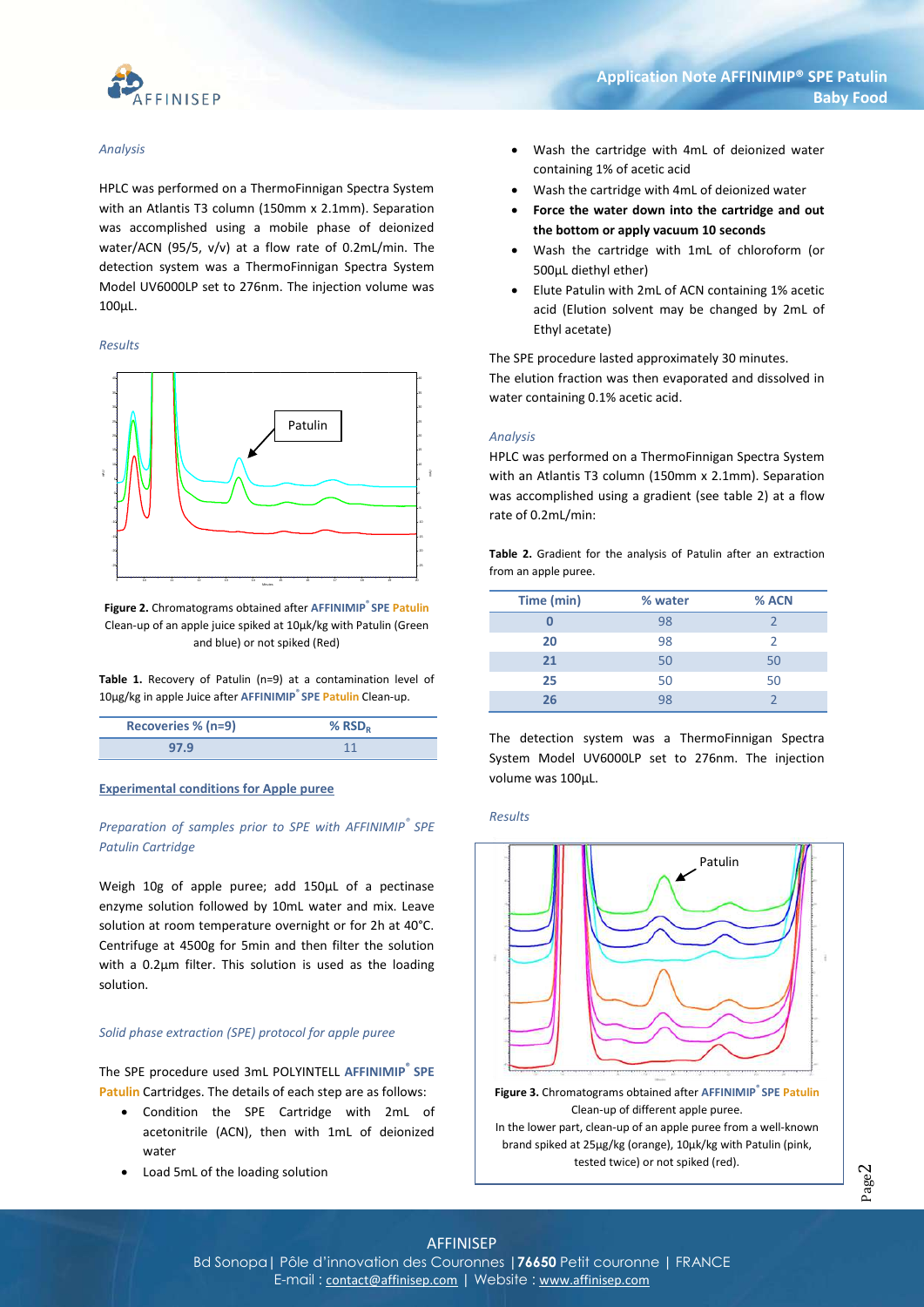

#### *Analysis*

HPLC was performed on a ThermoFinnigan Spectra System with an Atlantis T3 column (150mm x 2.1mm). Separation was accomplished using a mobile phase of deionized water/ACN (95/5, v/v) at a flow rate of 0.2mL/min. The detection system was a ThermoFinnigan Spectra System Model UV6000LP set to 276nm. The injection volume was 100µL.

#### *Results*



**Figure 2.** Chromatograms obtained after **AFFINIMIP® SPE Patulin** Clean-up of an apple juice spiked at 10µk/kg with Patulin (Green and blue) or not spiked (Red)

**Table 1.** Recovery of Patulin (n=9) at a contamination level of 10µg/kg in apple Juice after **AFFINIMIP® SPE Patulin** Clean-up.

| Recoveries % (n=9) | % $RSD_R$ |
|--------------------|-----------|
| 97.9               |           |

#### **Experimental conditions for Apple puree**

# *Preparation of samples prior to SPE with AFFINIMIP® SPE Patulin Cartridge*

Weigh 10g of apple puree; add 150µL of a pectinase enzyme solution followed by 10mL water and mix. Leave solution at room temperature overnight or for 2h at 40°C. Centrifuge at 4500g for 5min and then filter the solution with a 0.2µm filter. This solution is used as the loading solution.

#### *Solid phase extraction (SPE) protocol for apple puree*

The SPE procedure used 3mL POLYINTELL **AFFINIMIP® SPE Patulin** Cartridges. The details of each step are as follows:

- Condition the SPE Cartridge with 2mL of acetonitrile (ACN), then with 1mL of deionized water
- Load 5mL of the loading solution
- Wash the cartridge with 4mL of deionized water containing 1% of acetic acid
- Wash the cartridge with 4mL of deionized water
- **Force the water down into the cartridge and out the bottom or apply vacuum 10 seconds**
- Wash the cartridge with 1mL of chloroform (or 500µL diethyl ether)
- Elute Patulin with 2mL of ACN containing 1% acetic acid (Elution solvent may be changed by 2mL of Ethyl acetate)

The SPE procedure lasted approximately 30 minutes.

The elution fraction was then evaporated and dissolved in water containing 0.1% acetic acid.

## *Analysis*

HPLC was performed on a ThermoFinnigan Spectra System with an Atlantis T3 column (150mm x 2.1mm). Separation was accomplished using a gradient (see table 2) at a flow rate of 0.2mL/min:

**Table 2.** Gradient for the analysis of Patulin after an extraction from an apple puree.

| Time (min) | % water | % ACN |
|------------|---------|-------|
|            | 98      |       |
| 20         | 98      |       |
| 21         | 50      | 50    |
| 25         | 50      | 50    |
| 26         | 98      |       |

The detection system was a ThermoFinnigan Spectra System Model UV6000LP set to 276nm. The injection volume was 100uL.

#### *Results*



**Figure 3.** Chromatograms obtained after **AFFINIMIP® SPE Patulin** Clean-up of different apple puree.

In the lower part, clean-up of an apple puree from a well-known brand spiked at 25µg/kg (orange), 10µk/kg with Patulin (pink, tested twice) or not spiked (red).